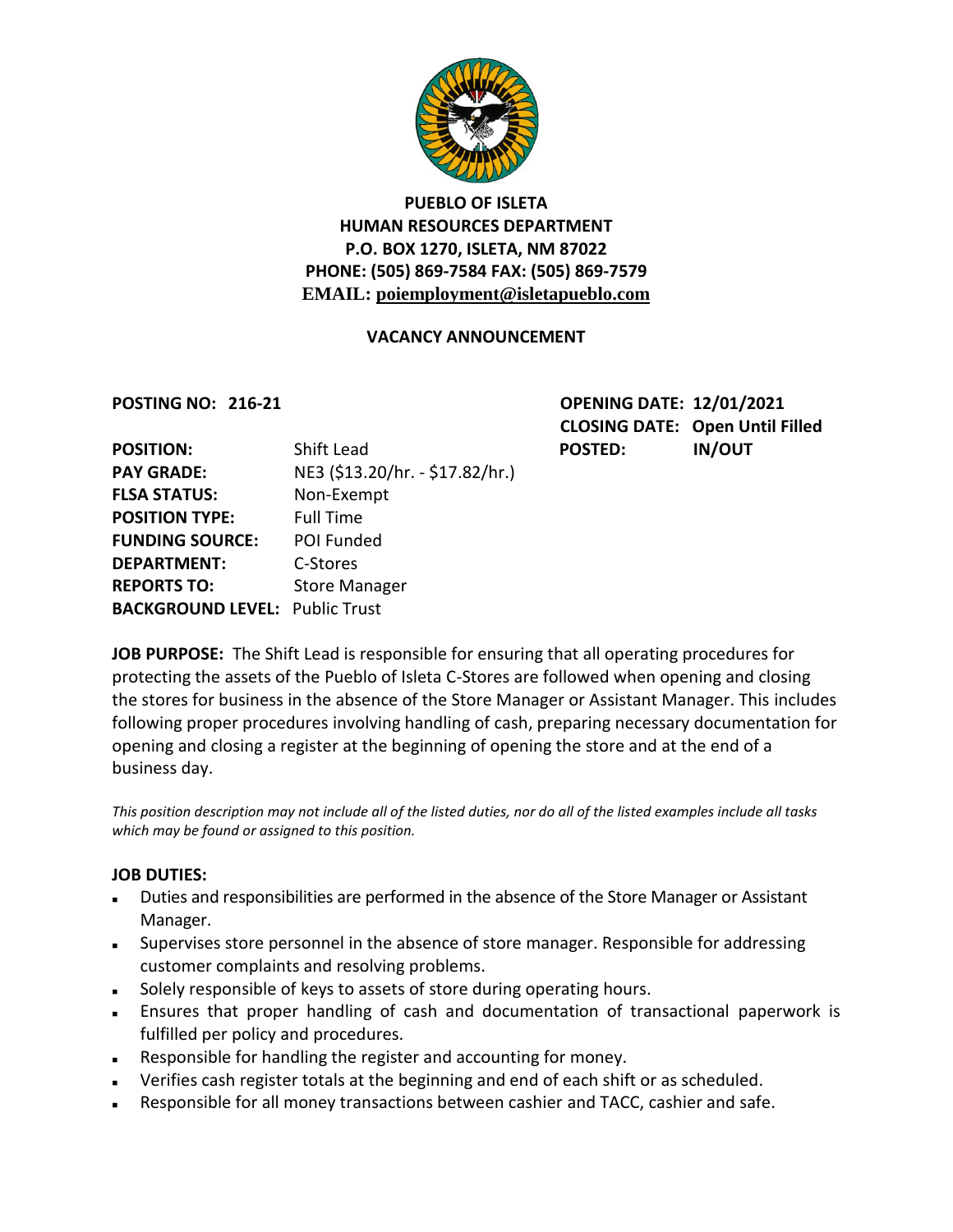

# **PUEBLO OF ISLETA HUMAN RESOURCES DEPARTMENT P.O. BOX 1270, ISLETA, NM 87022 PHONE: (505) 869-7584 FAX: (505) 869-7579 EMAIL: poiemployment@isletapueblo.com**

#### **VACANCY ANNOUNCEMENT**

**POSTING NO: 216-21 OPENING DATE: 12/01/2021 CLOSING DATE: Open Until Filled**

| <b>POSITION:</b>                      | Shift Lead                      | <b>POSTED:</b> | <b>IN/OUT</b> |
|---------------------------------------|---------------------------------|----------------|---------------|
| <b>PAY GRADE:</b>                     | NE3 (\$13.20/hr. - \$17.82/hr.) |                |               |
| <b>FLSA STATUS:</b>                   | Non-Exempt                      |                |               |
| <b>POSITION TYPE:</b>                 | <b>Full Time</b>                |                |               |
| <b>FUNDING SOURCE:</b>                | POI Funded                      |                |               |
| <b>DEPARTMENT:</b>                    | C-Stores                        |                |               |
| <b>REPORTS TO:</b>                    | <b>Store Manager</b>            |                |               |
| <b>BACKGROUND LEVEL: Public Trust</b> |                                 |                |               |

**JOB PURPOSE:** The Shift Lead is responsible for ensuring that all operating procedures for protecting the assets of the Pueblo of Isleta C-Stores are followed when opening and closing the stores for business in the absence of the Store Manager or Assistant Manager. This includes following proper procedures involving handling of cash, preparing necessary documentation for opening and closing a register at the beginning of opening the store and at the end of a business day.

*This position description may not include all of the listed duties, nor do all of the listed examples include all tasks which may be found or assigned to this position.*

#### **JOB DUTIES:**

- Duties and responsibilities are performed in the absence of the Store Manager or Assistant Manager.
- Supervises store personnel in the absence of store manager. Responsible for addressing customer complaints and resolving problems.
- Solely responsible of keys to assets of store during operating hours.
- Ensures that proper handling of cash and documentation of transactional paperwork is fulfilled per policy and procedures.
- Responsible for handling the register and accounting for money.
- Verifies cash register totals at the beginning and end of each shift or as scheduled.
- Responsible for all money transactions between cashier and TACC, cashier and safe.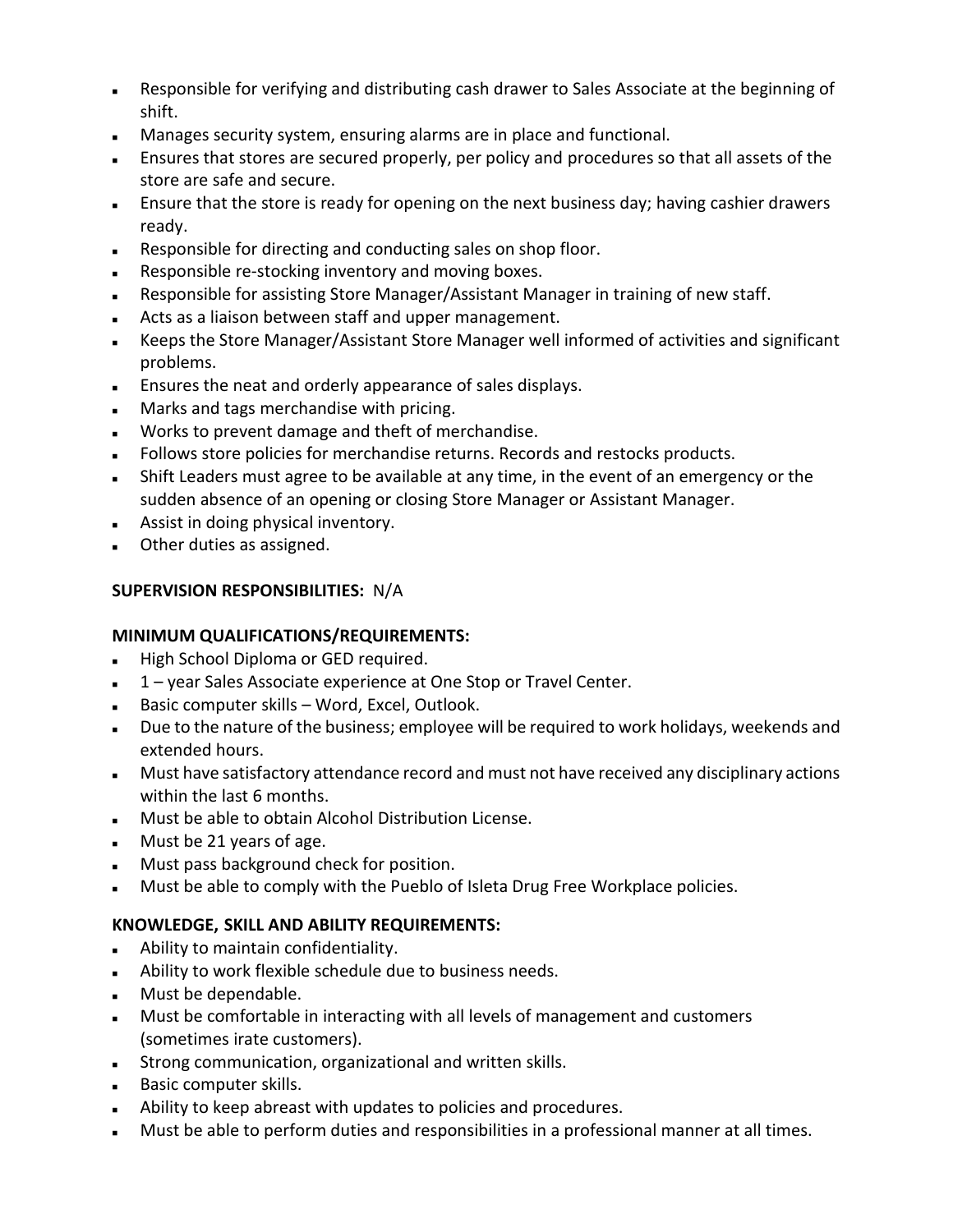- Responsible for verifying and distributing cash drawer to Sales Associate at the beginning of shift.
- Manages security system, ensuring alarms are in place and functional.
- Ensures that stores are secured properly, per policy and procedures so that all assets of the store are safe and secure.
- Ensure that the store is ready for opening on the next business day; having cashier drawers ready.
- Responsible for directing and conducting sales on shop floor.
- **Responsible re-stocking inventory and moving boxes.**
- Responsible for assisting Store Manager/Assistant Manager in training of new staff.
- Acts as a liaison between staff and upper management.
- Keeps the Store Manager/Assistant Store Manager well informed of activities and significant problems.
- Ensures the neat and orderly appearance of sales displays.
- **Marks and tags merchandise with pricing.**
- Works to prevent damage and theft of merchandise.
- **Follows store policies for merchandise returns. Records and restocks products.**
- Shift Leaders must agree to be available at any time, in the event of an emergency or the sudden absence of an opening or closing Store Manager or Assistant Manager.
- **Assist in doing physical inventory.**
- **Deta Deter duties as assigned.**

# **SUPERVISION RESPONSIBILITIES:** N/A

## **MINIMUM QUALIFICATIONS/REQUIREMENTS:**

- **High School Diploma or GED required.**
- 1 year Sales Associate experience at One Stop or Travel Center.
- Basic computer skills Word, Excel, Outlook.
- Due to the nature of the business; employee will be required to work holidays, weekends and extended hours.
- **Must have satisfactory attendance record and must not have received any disciplinary actions** within the last 6 months.
- Must be able to obtain Alcohol Distribution License.
- **Must be 21 years of age.**
- **Must pass background check for position.**
- Must be able to comply with the Pueblo of Isleta Drug Free Workplace policies.

## **KNOWLEDGE, SKILL AND ABILITY REQUIREMENTS:**

- Ability to maintain confidentiality.
- **Ability to work flexible schedule due to business needs.**
- **Must be dependable.**
- Must be comfortable in interacting with all levels of management and customers (sometimes irate customers).
- Strong communication, organizational and written skills.
- **Basic computer skills.**
- Ability to keep abreast with updates to policies and procedures.
- Must be able to perform duties and responsibilities in a professional manner at all times.